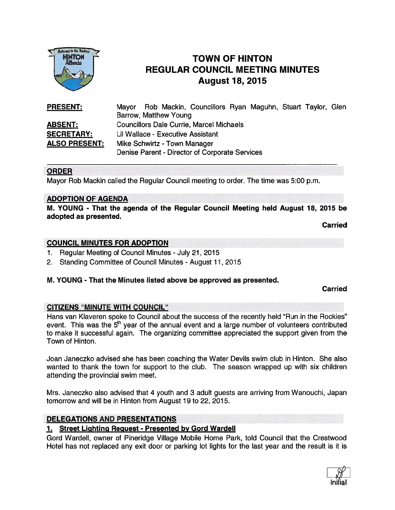

# TOWN OF HINTON REGULAR COUNCIL MEETING MINUTES August 18, 2015<br>
Alberta<br>
Alberta<br>
August 18, 2015

| <b>PRESENT:</b>      | Mayor Rob Mackin, Councillors Ryan Maguhn, Stuart Taylor, Glen<br>Barrow, Matthew Young |
|----------------------|-----------------------------------------------------------------------------------------|
|                      |                                                                                         |
| <b>ABSENT:</b>       | <b>Councillors Dale Currie, Marcel Michaels</b>                                         |
| <b>SECRETARY:</b>    | Lil Wallace - Executive Assistant                                                       |
| <b>ALSO PRESENT:</b> | Mike Schwirtz - Town Manager                                                            |
|                      | Denise Parent - Director of Corporate Services                                          |

#### ORDER

Mayor Rob Mackin called the Regular Council meeting to order. The time was 5:00 p.m.

#### ADOPTION OF AGENDA

M. YOUNG - That the agenda of the Regular Council Meeting held August 18, 2015 be adopted as presented.

Carried

#### COUNCIL MINUTES FOR ADOPTION

- 1. Regular Meeting of Council Minutes -July 21, 2015
- 2. Standing Committee of Council Minutes August 11, 2015

#### M. YOUNG - That the Minutes listed above be approved as presented.

Carried

#### CITIZENS "MINUTE WITH COUNCIL"

Hans van Kiaveren spoke to Council about the success of the recently held "Run in the Rockies" event. This was the  $5<sup>th</sup>$  year of the annual event and a large number of volunteers contributed to make it successful again. The organizing committee appreciated the suppor<sup>t</sup> given from the Town of Hinton.

Joan Janeczko advised she has been coaching the Water Devils swim club in Hinton. She also wanted to thank the town for suppor<sup>t</sup> to the club. The season wrapped up with six children attending the provincial swim meet.

Mrs. Janeczko also advised that 4 youth and 3 adult guests are arriving from Wanouchi, Japan tomorrow and will be in Hinton from August 19 to 22, 2015.

#### DELEGATIONS AND PRESENTATIONS

#### 1. Street Lighting Request - Presented by Gord Wardell

Gord Wardell, owner of Pineridge Village Mobile Home Park, told Council that the Crestwood Hotel has not replaced any exit door or parking lot lights for the last year and the result is it is

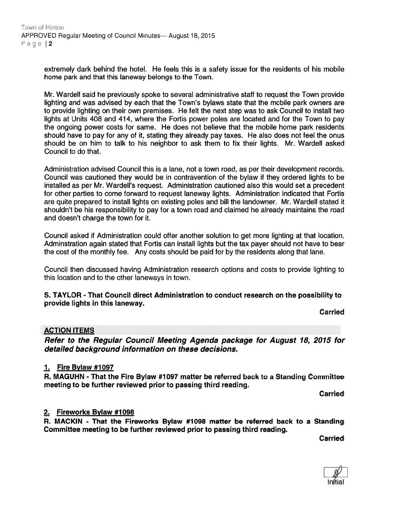extremely dark behind the hotel. He feels this is <sup>a</sup> safety issue for the residents of his mobile home park and that this laneway belongs to the Town.

Mr. Wardell said he previously spoke to several administrative staff to reques<sup>t</sup> the Town provide lighting and was advised by each that the Town's bylaws state that the mobile park owners are to provide lighting on their own premises. He felt the next step was to ask Council to install two lights at Units 408 and 414, where the Fortis power poles are located and for the Town to pay the ongoing power costs for same. He does not believe that the mobile home park residents should have to pay for any of it, stating they already pay taxes. He also does not feel the onus should be on him to talk to his neighbor to ask them to fix their lights. Mr. Wardell asked Council to do that.

Administration advised Council this is <sup>a</sup> lane, not <sup>a</sup> town road, as per their development records. Council was cautioned they would be in contravention of the bylaw if they ordered lights to be installed as per Mr. Wardell's request. Administration cautioned also this would set <sup>a</sup> precedent for other parties to come forward to reques<sup>t</sup> laneway lights. Administration indicated that Fortis are quite prepared to install lights on existing poles and bill the landowner. Mr. Wardell stated it shouldn't be his responsibility to pay for <sup>a</sup> town road and claimed he already maintains the road and doesn't charge the town for it.

Council asked if Administration could offer another solution to ge<sup>t</sup> more lighting at that location. Adminstration again stated that Fortis can install lights but the tax payer should not have to bear the cost of the monthly fee. Any costs should be paid for by the residents along that lane.

Council then discussed having Administration research options and costs to provide lighting to this location and to the other laneways in town.

#### S. TAYLOR - That Council direct Administration to conduct research on the possibility to provide lights in this laneway.

Carried

## ACTION ITEMS

Refer to the Regular Council Meeting Agenda package for August 78, 2075 for detailed background information on these decisions.

#### 1. Fire Bylaw #1097

R. MAGUHN - That the Fire Bylaw #1 097 matter be referred back to <sup>a</sup> Standing Committee meeting to be further reviewed prior to passing third reading.

Carried

## 2. Fireworks Bylaw #1098

R. MACKIN - That the Fireworks Bylaw #1098 matter be referred back to <sup>a</sup> Standing Committee meeting to be further reviewed prior to passing third reading.

**Carried** 

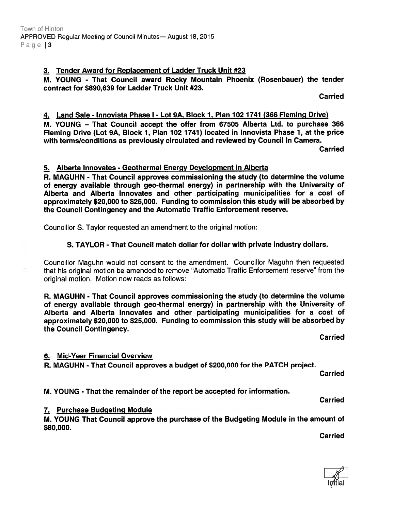#### 3. Tender Award for Replacement of Ladder Truck Unit #23

M. YOUNG - That Council award Rocky Mountain Phoenix (Rosenbauer) the tender contract for \$890,639 for Ladder Truck Unit #23.

**Carried** 

#### 4. Land Sale - Innovista Phase I - Lot 9A, Block 1, Plan 702 1741 (366 Fleming Drive)

M. YOUNG — That Council accep<sup>t</sup> the offer from 67505 Alberta Ltd. to purchase 366 Fleming Drive (Lot 9A, Block 1, Plan 102 1741) located in Innovista Phase 1, at the price with terms/conditions as previously circulated and reviewed by Council In Camera.

Carried

#### 5. Alberta Innovates - Geothermal Energy Development in Alberta

R. MAGUHN - That Council approves commissioning the study (to determine the volume of energy available through geo-thermal energy) in partnership with the University of Alberta and Alberta Innovates and other participating municipalities for <sup>a</sup> cost of approximately \$20,000 to \$25,000. Funding to commission this study will be absorbed by the Council Contingency and the Automatic Traffic Enforcement reserve.

Councillor S. Taylor requested an amendment to the original motion:

#### S. TAYLOR - That Council match dollar for dollar with private industry dollars.

Councillor Maguhn would not consent to the amendment. Councillor Maguhn then requested that his original motion be amended to remove "Automatic Traffic Enforcement reserve" from the original motion. Motion now reads as follows:

R. MAGUHN - That Council approves commissioning the study (to determine the volume of energy available through geo-thermal energy) in partnership with the University of Alberta and Alberta Innovates and other participating municipalities for <sup>a</sup> cost of approximately \$20,000 to \$25,000. Funding to commission this study will be absorbed by the Council Contingency.

Carried

#### 6. Mid-Year Financial Overview

R. MAGUHN - That Council approves <sup>a</sup> budget of \$200,000 for the PATCH project.

**Carried** 

M. YOUNG - That the remainder of the repor<sup>t</sup> be accepted for information.

Carried

#### 7. Purchase Budgeting Module

M. YOUNG That Council approve the purchase of the Budgeting Module in the amount of \$80,000.

Carried

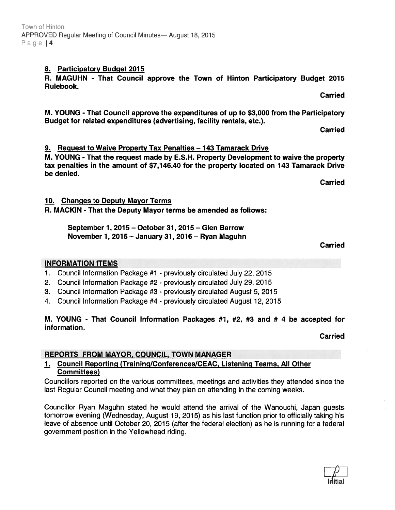8. Participatory Budget 2015

R. MAGUHN - That Council approve the Town of Hinton Participatory Budget 2015 Rulebook. **Carried** 

M. YOUNG -That Council approve the expenditures of up to \$3,000 from the Participatory Budget for related expenditures (advertising, facility rentals, etc.).

**Carried** 

9. Request to Waive Property Tax Penalties — 143 Tamarack Drive

M. YOUNG - That the reques<sup>t</sup> made by E.S.H. Property Development to waive the property tax penalties in the amount of \$7,146.40 for the property located on 143 Tamarack Drive be denied.

10. Changes to Deputy Mayor Terms

R. MACKIN - That the Deputy Mayor terms be amended as follows:

September 1,2015 — October 31, 2015— Glen Barrow November 1, 2015 — January 31, 2016 — Ryan Maguhn

## INFORMATION ITEMS

- 1. Council Information Package #1 previously circulated July 22, 2015
- 2. Council Information Package #2 previously circulated July 29, 2015
- 3. Council Information Package #3 previously circulated August 5, 2015
- 4. Council Information Package #4 previously circulated August 12, 2015

M. YOUNG - That Council Information Packages #1, #2, #3 and # 4 be accepted for information. Carried

# REPORTS FROM MAYOR, COUNCIL, TOWN MANAGER

# 1. Council Reporting (Training/Conferences/CEAC, Listening Teams. All Other Committees)

Councillors reported on the various committees, meetings and activities they attended since the last Regular Council meeting and what they plan on attending in the coming weeks.

Councillor Ryan Maguhn stated he would attend the arrival of the Wanouchi, Japan guests tomorrow evening (Wednesday, August 19, 2015) as his last function prior to officially taking his leave of absence until October 20, 2015 (after the federal election) as he is running for <sup>a</sup> federal governmen<sup>t</sup> position in the Yellowhead riding.

Carried

**Carried**